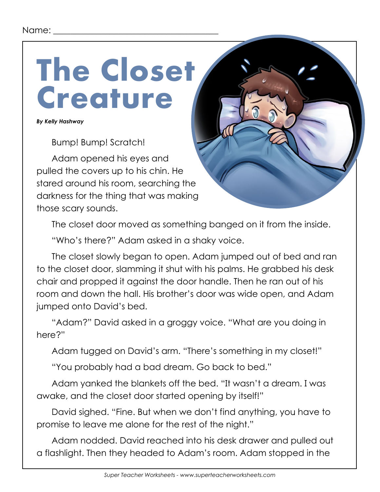# **The Closet Creature**

*By Kelly Hashway*

Bump! Bump! Scratch!

Adam opened his eyes and pulled the covers up to his chin. He stared around his room, searching the darkness for the thing that was making those scary sounds.

The closet door moved as something banged on it from the inside.

"Who's there?" Adam asked in a shaky voice.

The closet slowly began to open. Adam jumped out of bed and ran to the closet door, slamming it shut with his palms. He grabbed his desk chair and propped it against the door handle. Then he ran out of his room and down the hall. His brother's door was wide open, and Adam jumped onto David's bed.

"Adam?" David asked in a groggy voice. "What are you doing in here?"

Adam tugged on David's arm. "There's something in my closet!"

"You probably had a bad dream. Go back to bed."

Adam yanked the blankets off the bed. "It wasn't a dream. I was awake, and the closet door started opening by itself!"

David sighed. "Fine. But when we don't find anything, you have to promise to leave me alone for the rest of the night."

Adam nodded. David reached into his desk drawer and pulled out a flashlight. Then they headed to Adam's room. Adam stopped in the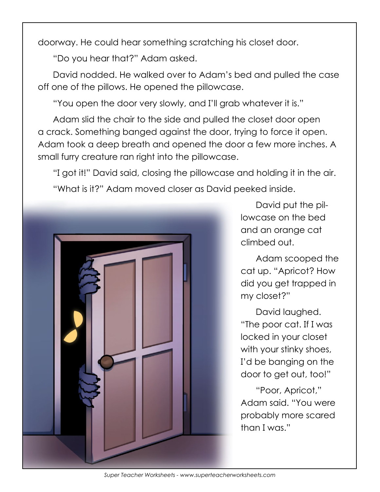doorway. He could hear something scratching his closet door.

"Do you hear that?" Adam asked.

David nodded. He walked over to Adam's bed and pulled the case off one of the pillows. He opened the pillowcase.

"You open the door very slowly, and I'll grab whatever it is."

Adam slid the chair to the side and pulled the closet door open a crack. Something banged against the door, trying to force it open. Adam took a deep breath and opened the door a few more inches. A small furry creature ran right into the pillowcase.

"I got it!" David said, closing the pillowcase and holding it in the air. "What is it?" Adam moved closer as David peeked inside.



David put the pillowcase on the bed and an orange cat climbed out.

Adam scooped the cat up. "Apricot? How did you get trapped in my closet?"

David laughed. "The poor cat. If I was locked in your closet with your stinky shoes, I'd be banging on the door to get out, too!"

"Poor, Apricot," Adam said. "You were probably more scared than I was."

*Super Teacher Worksheets - www.superteacherworksheets.com*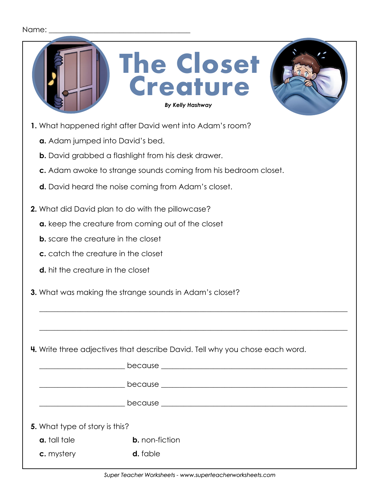#### Name:

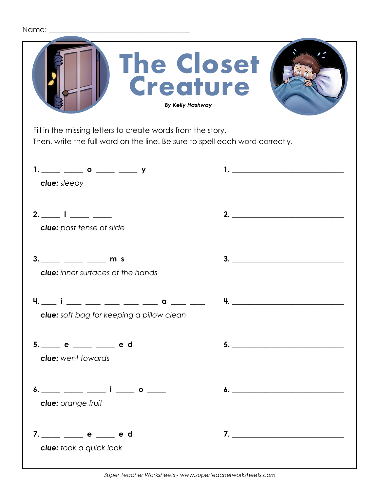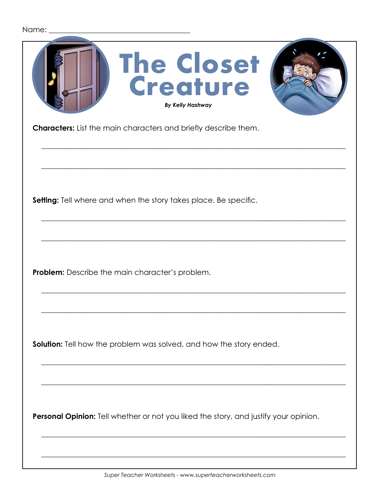| Name: |                                                                                      |
|-------|--------------------------------------------------------------------------------------|
|       | <b>The Closet</b><br>Creature<br><b>By Kelly Hashway</b>                             |
|       | <b>Characters:</b> List the main characters and briefly describe them.               |
|       |                                                                                      |
|       |                                                                                      |
|       | Setting: Tell where and when the story takes place. Be specific.                     |
|       |                                                                                      |
|       | <b>Problem:</b> Describe the main character's problem.                               |
|       |                                                                                      |
|       |                                                                                      |
|       | <b>Solution:</b> Tell how the problem was solved, and how the story ended.           |
|       |                                                                                      |
|       |                                                                                      |
|       | Personal Opinion: Tell whether or not you liked the story, and justify your opinion. |
|       |                                                                                      |
|       |                                                                                      |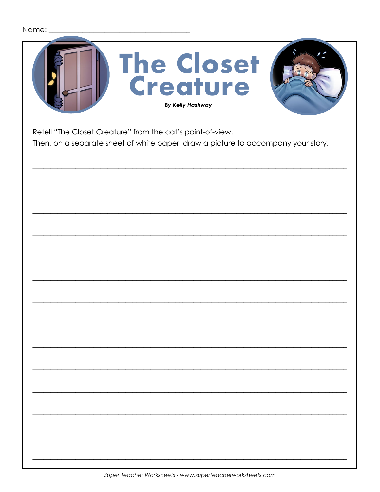|  | Name: |  |
|--|-------|--|
|  |       |  |

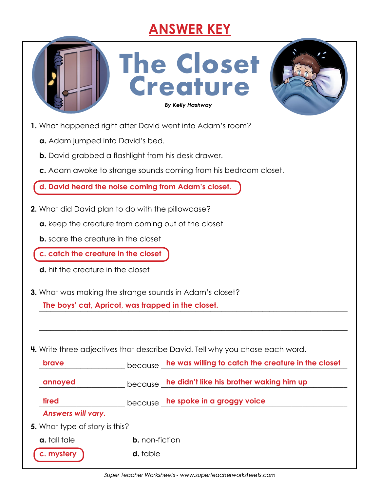# **ANSWER KEY**

**The Closet** 

**Creature**

*By Kelly Hashway By Kelly Hashway*



**1.** What happened right after David went into Adam's room?

- **a.** Adam jumped into David's bed.
- **b.** David grabbed a flashlight from his desk drawer.
- **c.** Adam awoke to strange sounds coming from his bedroom closet.

**d. David heard the noise coming from Adam's closet.**

- **2.** What did David plan to do with the pillowcase?
	- **a.** keep the creature from coming out of the closet
	- **b.** scare the creature in the closet
	- **c. catch the creature in the closet**
	- **d.** hit the creature in the closet
- **3.** What was making the strange sounds in Adam's closet?

The boys' cat, Apricot, was trapped in the closet.

**4.** Write three adjectives that describe David. Tell why you chose each word.

| <b>brave</b>                          | because               | he was willing to catch the creature in the closet |
|---------------------------------------|-----------------------|----------------------------------------------------|
| annoyed                               |                       | because he didn't like his brother waking him up   |
| tired                                 |                       | because he spoke in a groggy voice                 |
| <b>Answers will vary.</b>             |                       |                                                    |
| <b>5.</b> What type of story is this? |                       |                                                    |
| a. tall tale                          | <b>b.</b> non-fiction |                                                    |
| c. mystery                            | <b>d.</b> fable       |                                                    |

\_\_\_\_\_\_\_\_\_\_\_\_\_\_\_\_\_\_\_\_\_\_\_\_\_\_\_\_\_\_\_\_\_\_\_\_\_\_\_\_\_\_\_\_\_\_\_\_\_\_\_\_\_\_\_\_\_\_\_\_\_\_\_\_\_\_\_\_\_\_\_\_\_\_\_\_\_\_\_\_\_\_\_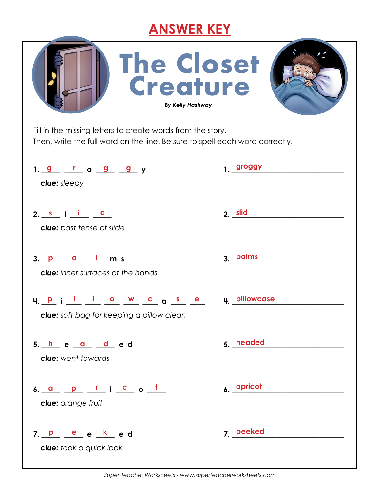## **ANSWER KEY**

| The Closet<br>Creature<br><b>By Kelly Hashway</b>                                                                                           |                                                                                                                                                                                                                                |
|---------------------------------------------------------------------------------------------------------------------------------------------|--------------------------------------------------------------------------------------------------------------------------------------------------------------------------------------------------------------------------------|
| Fill in the missing letters to create words from the story.<br>Then, write the full word on the line. Be sure to spell each word correctly. |                                                                                                                                                                                                                                |
| 1. <u>g r</u> o <u>g</u> g y<br>clue: sleepy                                                                                                | 1. groggy                                                                                                                                                                                                                      |
| 2. $s$   i $d$<br><b>clue:</b> past tense of slide                                                                                          | 2. slid and the set of the set of the set of the set of the set of the set of the set of the set of the set of the set of the set of the set of the set of the set of the set of the set of the set of the set of the set of t |
| $3.$ $p$ $q$ $l$ m s<br><b>clue:</b> inner surfaces of the hands                                                                            | 3. palms                                                                                                                                                                                                                       |
| <u>upillowcase</u><br><b>clue:</b> soft bag for keeping a pillow clean                                                                      | u pillowcase                                                                                                                                                                                                                   |
| 5. <u>he ad</u> ed<br><b>clue:</b> went towards                                                                                             | 5. headed                                                                                                                                                                                                                      |
| 6. <u>a p r i c</u> o <u>t</u><br>clue: orange fruit                                                                                        | 6. apricot                                                                                                                                                                                                                     |
| 7. <u>P e e k</u> e d<br>clue: took a quick look                                                                                            | 7. peeked                                                                                                                                                                                                                      |